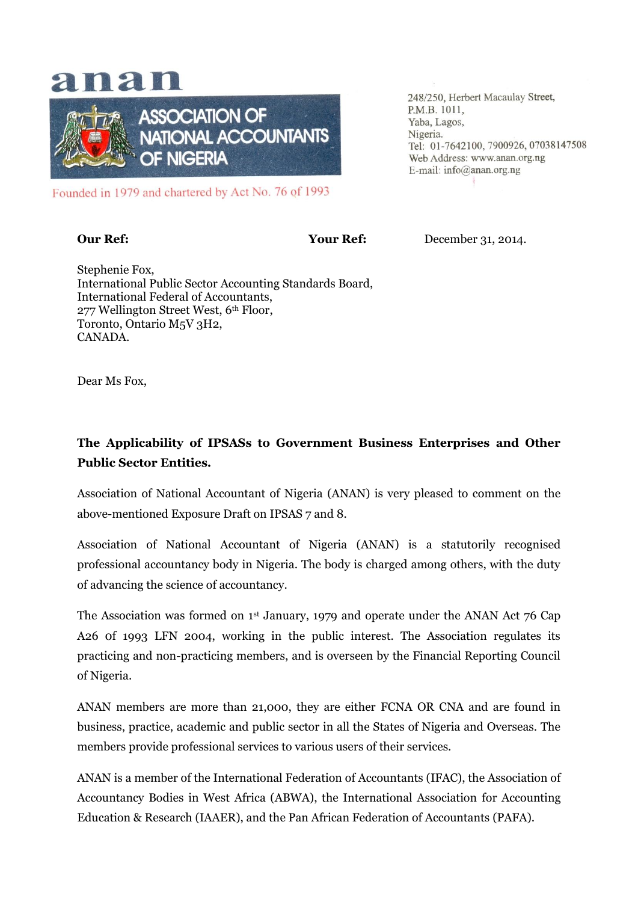# anan



Founded in 1979 and chartered by Act No. 76 of 1993

**Our Ref: December 31, 2014.** 

248/250, Herbert Macaulay Street,

Web Address: www.anan.org.ng E-mail: info@anan.org.ng

Tel: 01-7642100, 7900926, 07038147508

P.M.B. 1011, Yaba, Lagos,

Nigeria.

Stephenie Fox, International Public Sector Accounting Standards Board, International Federal of Accountants, 277 Wellington Street West, 6th Floor, Toronto, Ontario M5V 3H2, CANADA.

Dear Ms Fox,

#### **The Applicability of IPSASs to Government Business Enterprises and Other Public Sector Entities.**

Association of National Accountant of Nigeria (ANAN) is very pleased to comment on the above-mentioned Exposure Draft on IPSAS 7 and 8.

Association of National Accountant of Nigeria (ANAN) is a statutorily recognised professional accountancy body in Nigeria. The body is charged among others, with the duty of advancing the science of accountancy.

The Association was formed on 1st January, 1979 and operate under the ANAN Act 76 Cap A26 0f 1993 LFN 2004, working in the public interest. The Association regulates its practicing and non-practicing members, and is overseen by the Financial Reporting Council of Nigeria.

ANAN members are more than 21,000, they are either FCNA OR CNA and are found in business, practice, academic and public sector in all the States of Nigeria and Overseas. The members provide professional services to various users of their services.

ANAN is a member of the International Federation of Accountants (IFAC), the Association of Accountancy Bodies in West Africa (ABWA), the International Association for Accounting Education & Research (IAAER), and the Pan African Federation of Accountants (PAFA).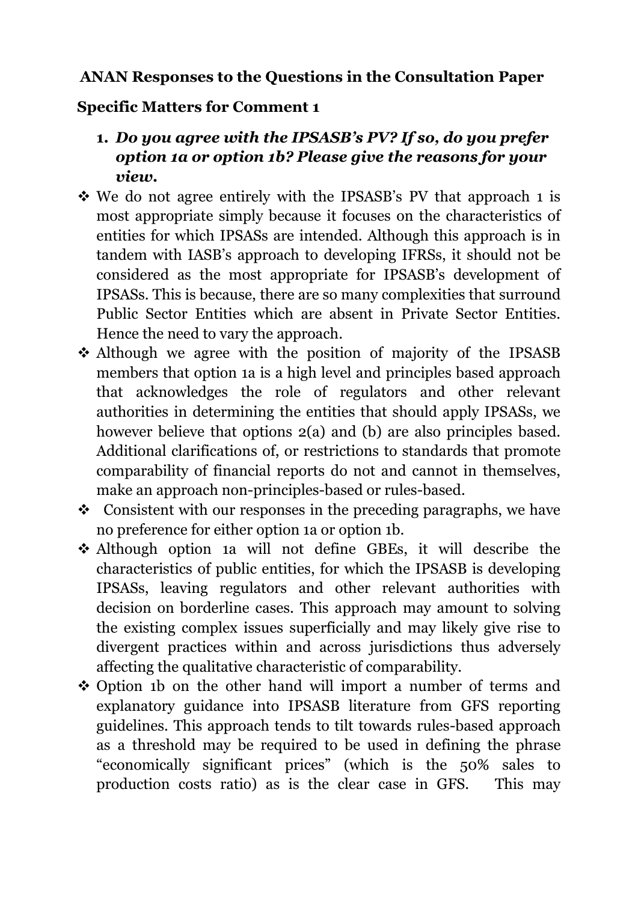### **ANAN Responses to the Questions in the Consultation Paper**

#### **Specific Matters for Comment 1**

- **1.** *Do you agree with the IPSASB's PV? If so, do you prefer option 1a or option 1b? Please give the reasons for your view.*
- We do not agree entirely with the IPSASB's PV that approach 1 is most appropriate simply because it focuses on the characteristics of entities for which IPSASs are intended. Although this approach is in tandem with IASB's approach to developing IFRSs, it should not be considered as the most appropriate for IPSASB's development of IPSASs. This is because, there are so many complexities that surround Public Sector Entities which are absent in Private Sector Entities. Hence the need to vary the approach.
- Although we agree with the position of majority of the IPSASB members that option 1a is a high level and principles based approach that acknowledges the role of regulators and other relevant authorities in determining the entities that should apply IPSASs, we however believe that options  $2(a)$  and (b) are also principles based. Additional clarifications of, or restrictions to standards that promote comparability of financial reports do not and cannot in themselves, make an approach non-principles-based or rules-based.
- $\div$  Consistent with our responses in the preceding paragraphs, we have no preference for either option 1a or option 1b.
- Although option 1a will not define GBEs, it will describe the characteristics of public entities, for which the IPSASB is developing IPSASs, leaving regulators and other relevant authorities with decision on borderline cases. This approach may amount to solving the existing complex issues superficially and may likely give rise to divergent practices within and across jurisdictions thus adversely affecting the qualitative characteristic of comparability.
- Option 1b on the other hand will import a number of terms and explanatory guidance into IPSASB literature from GFS reporting guidelines. This approach tends to tilt towards rules-based approach as a threshold may be required to be used in defining the phrase "economically significant prices" (which is the 50% sales to production costs ratio) as is the clear case in GFS. This may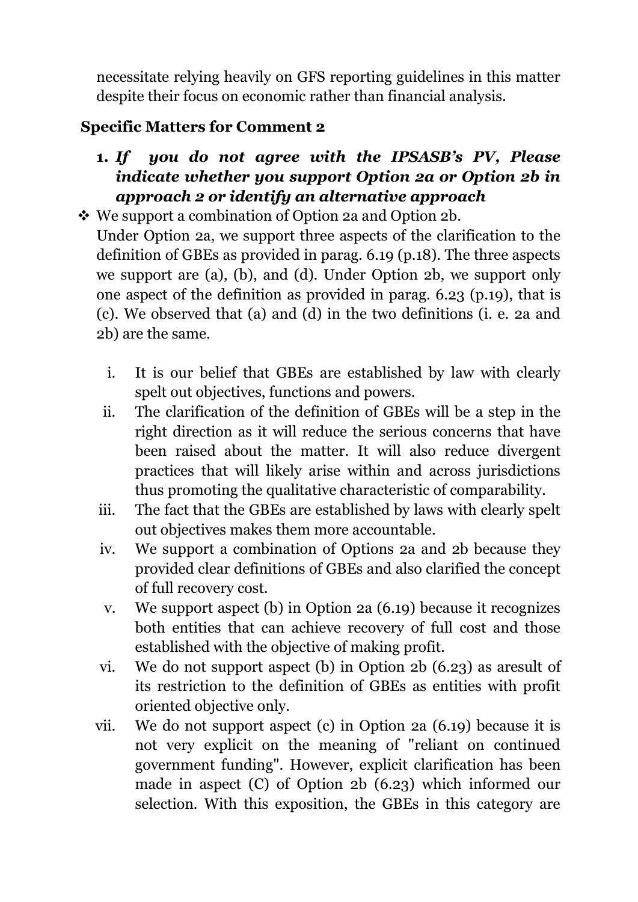necessitate relying heavily on GFS reporting guidelines in this matter despite their focus on economic rather than financial analysis.

## **Specific Matters for Comment 2**

**1.** *If you do not agree with the IPSASB's PV, Please indicate whether you support Option 2a or Option 2b in approach 2 or identify an alternative approach*

 We support a combination of Option 2a and Option 2b. Under Option 2a, we support three aspects of the clarification to the definition of GBEs as provided in parag. 6.19 (p.18). The three aspects we support are (a), (b), and (d). Under Option 2b, we support only one aspect of the definition as provided in parag. 6.23 (p.19), that is (c). We observed that (a) and (d) in the two definitions (i. e. 2a and 2b) are the same.

- i. It is our belief that GBEs are established by law with clearly spelt out objectives, functions and powers.
- ii. The clarification of the definition of GBEs will be a step in the right direction as it will reduce the serious concerns that have been raised about the matter. It will also reduce divergent practices that will likely arise within and across jurisdictions thus promoting the qualitative characteristic of comparability.
- iii. The fact that the GBEs are established by laws with clearly spelt out objectives makes them more accountable.
- iv. We support a combination of Options 2a and 2b because they provided clear definitions of GBEs and also clarified the concept of full recovery cost.
- v. We support aspect (b) in Option 2a (6.19) because it recognizes both entities that can achieve recovery of full cost and those established with the objective of making profit.
- vi. We do not support aspect (b) in Option 2b (6.23) as aresult of its restriction to the definition of GBEs as entities with profit oriented objective only.
- vii. We do not support aspect (c) in Option 2a (6.19) because it is not very explicit on the meaning of "reliant on continued government funding". However, explicit clarification has been made in aspect (C) of Option 2b (6.23) which informed our selection. With this exposition, the GBEs in this category are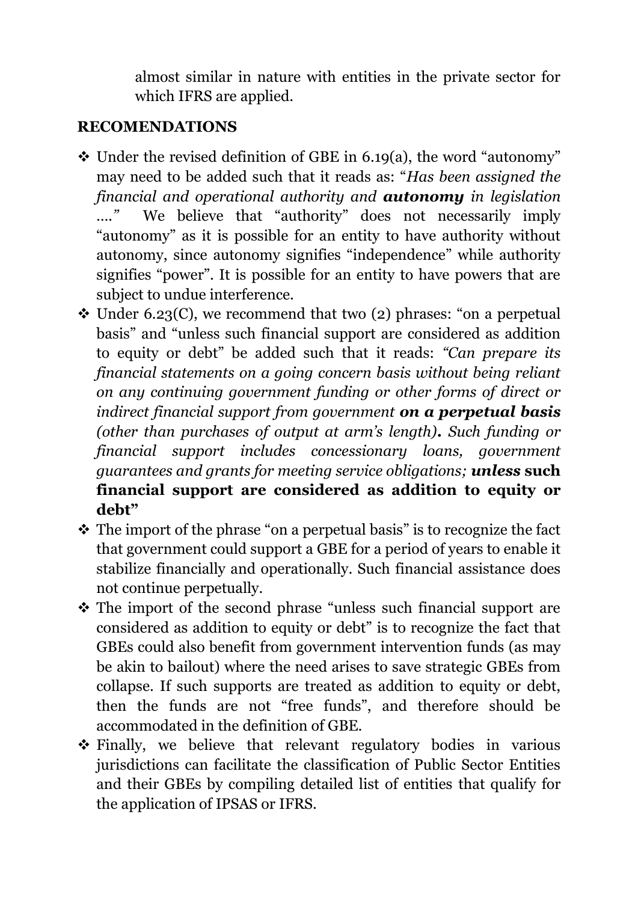almost similar in nature with entities in the private sector for which IFRS are applied.

#### **RECOMENDATIONS**

- $\div$  Under the revised definition of GBE in 6.19(a), the word "autonomy" may need to be added such that it reads as: "*Has been assigned the financial and operational authority and autonomy in legislation …."* We believe that "authority" does not necessarily imply "autonomy" as it is possible for an entity to have authority without autonomy, since autonomy signifies "independence" while authority signifies "power". It is possible for an entity to have powers that are subject to undue interference.
- $\triangle$  Under 6.23(C), we recommend that two (2) phrases: "on a perpetual basis" and "unless such financial support are considered as addition to equity or debt" be added such that it reads: *"Can prepare its financial statements on a going concern basis without being reliant on any continuing government funding or other forms of direct or indirect financial support from government on a perpetual basis (other than purchases of output at arm's length). Such funding or financial support includes concessionary loans, government guarantees and grants for meeting service obligations; unless* **such financial support are considered as addition to equity or debt"**
- \* The import of the phrase "on a perpetual basis" is to recognize the fact that government could support a GBE for a period of years to enable it stabilize financially and operationally. Such financial assistance does not continue perpetually.
- The import of the second phrase "unless such financial support are considered as addition to equity or debt" is to recognize the fact that GBEs could also benefit from government intervention funds (as may be akin to bailout) where the need arises to save strategic GBEs from collapse. If such supports are treated as addition to equity or debt, then the funds are not "free funds", and therefore should be accommodated in the definition of GBE.
- Finally, we believe that relevant regulatory bodies in various jurisdictions can facilitate the classification of Public Sector Entities and their GBEs by compiling detailed list of entities that qualify for the application of IPSAS or IFRS.